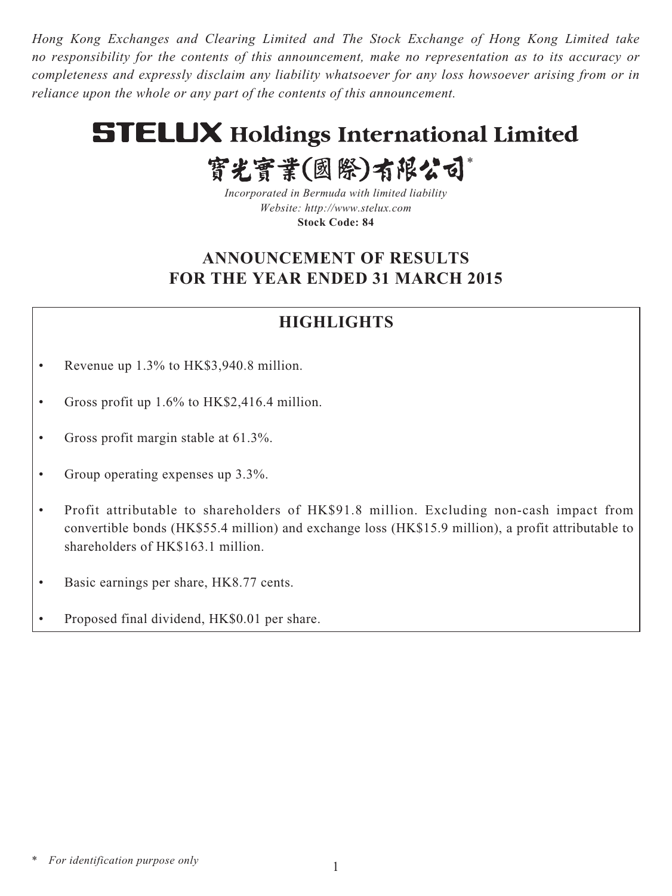*Hong Kong Exchanges and Clearing Limited and The Stock Exchange of Hong Kong Limited take no responsibility for the contents of this announcement, make no representation as to its accuracy or completeness and expressly disclaim any liability whatsoever for any loss howsoever arising from or in reliance upon the whole or any part of the contents of this announcement.*

# **STELUX Holdings International Limited**

實光實業(國際)有限公司\* *Incorporated in Bermuda with limited liability Website:<http://www.stelux.com>*

**Stock Code: 84**

# **ANNOUNCEMENT OF RESULTS FOR THE YEAR ENDED 31 MARCH 2015**

# **HIGHLIGHTS**

- Revenue up 1.3% to HK\$3,940.8 million.
- Gross profit up 1.6% to HK\$2,416.4 million.
- Gross profit margin stable at 61.3%.
- Group operating expenses up 3.3%.
- Profit attributable to shareholders of HK\$91.8 million. Excluding non-cash impact from convertible bonds (HK\$55.4 million) and exchange loss (HK\$15.9 million), a profit attributable to shareholders of HK\$163.1 million.
- Basic earnings per share, HK8.77 cents.
- Proposed final dividend, HK\$0.01 per share.

*\* For identification purpose only*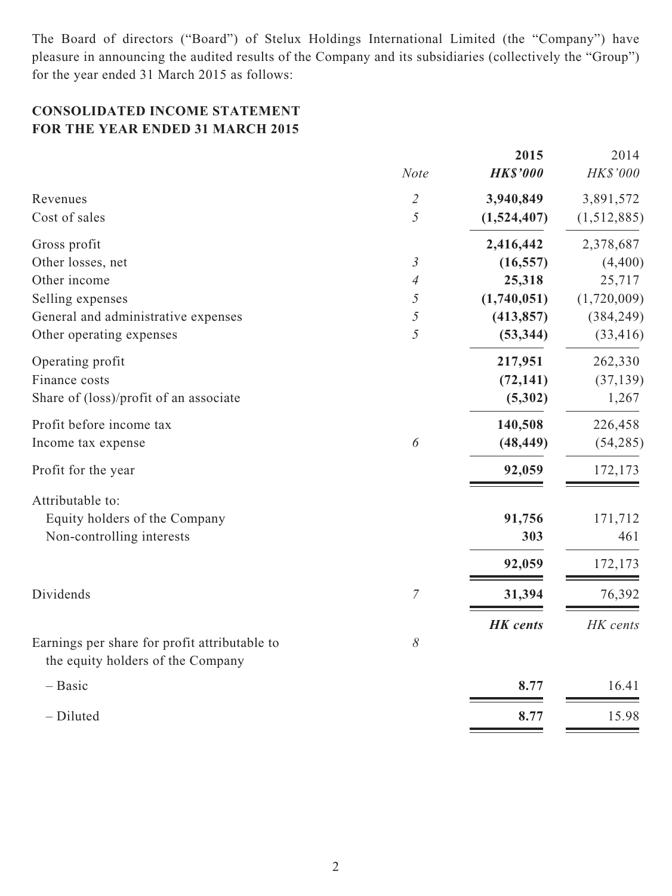The Board of directors ("Board") of Stelux Holdings International Limited (the "Company") have pleasure in announcing the audited results of the Company and its subsidiaries (collectively the "Group") for the year ended 31 March 2015 as follows:

# **CONSOLIDATED INCOME STATEMENT FOR THE YEAR ENDED 31 MARCH 2015**

|                                                                                    | <b>Note</b>                 | 2015<br><b>HK\$'000</b> | 2014<br>HK\$'000 |
|------------------------------------------------------------------------------------|-----------------------------|-------------------------|------------------|
| Revenues                                                                           | $\mathcal{L}_{\mathcal{L}}$ | 3,940,849               | 3,891,572        |
| Cost of sales                                                                      | 5                           | (1,524,407)             | (1,512,885)      |
| Gross profit                                                                       |                             | 2,416,442               | 2,378,687        |
| Other losses, net                                                                  | $\mathfrak{Z}$              | (16, 557)               | (4,400)          |
| Other income                                                                       | $\overline{4}$              | 25,318                  | 25,717           |
| Selling expenses                                                                   | 5                           | (1,740,051)             | (1,720,009)      |
| General and administrative expenses                                                | 5                           | (413, 857)              | (384, 249)       |
| Other operating expenses                                                           | 5                           | (53, 344)               | (33, 416)        |
| Operating profit                                                                   |                             | 217,951                 | 262,330          |
| Finance costs                                                                      |                             | (72, 141)               | (37, 139)        |
| Share of (loss)/profit of an associate                                             |                             | (5,302)                 | 1,267            |
| Profit before income tax                                                           |                             | 140,508                 | 226,458          |
| Income tax expense                                                                 | 6                           | (48, 449)               | (54, 285)        |
| Profit for the year                                                                |                             | 92,059                  | 172,173          |
| Attributable to:                                                                   |                             |                         |                  |
| Equity holders of the Company                                                      |                             | 91,756                  | 171,712          |
| Non-controlling interests                                                          |                             | 303                     | 461              |
|                                                                                    |                             | 92,059                  | 172,173          |
| Dividends                                                                          | 7                           | 31,394                  | 76,392           |
|                                                                                    |                             | <b>HK</b> cents         | HK cents         |
| Earnings per share for profit attributable to<br>the equity holders of the Company | 8                           |                         |                  |
| $-$ Basic                                                                          |                             | 8.77                    | 16.41            |
| - Diluted                                                                          |                             | 8.77                    | 15.98            |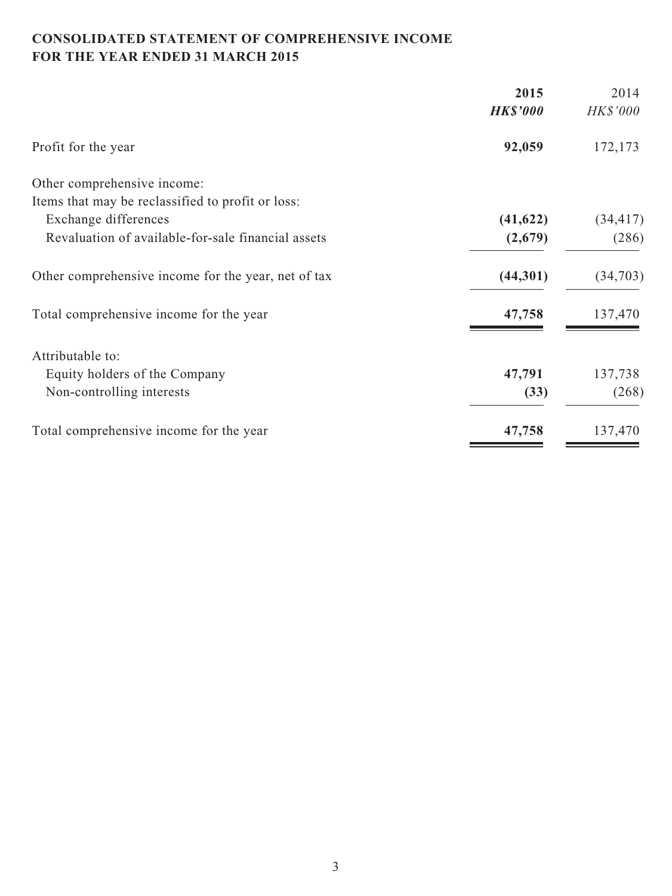# **CONSOLIDATED STATEMENT OF COMPREHENSIVE INCOME FOR THE YEAR ENDED 31 MARCH 2015**

| 2015            | 2014            |
|-----------------|-----------------|
| <b>HK\$'000</b> | <b>HK\$'000</b> |
| 92,059          | 172,173         |
|                 |                 |
|                 |                 |
| (41, 622)       | (34, 417)       |
| (2,679)         | (286)           |
| (44,301)        | (34,703)        |
| 47,758          | 137,470         |
|                 |                 |
| 47,791          | 137,738         |
| (33)            | (268)           |
| 47,758          | 137,470         |
|                 |                 |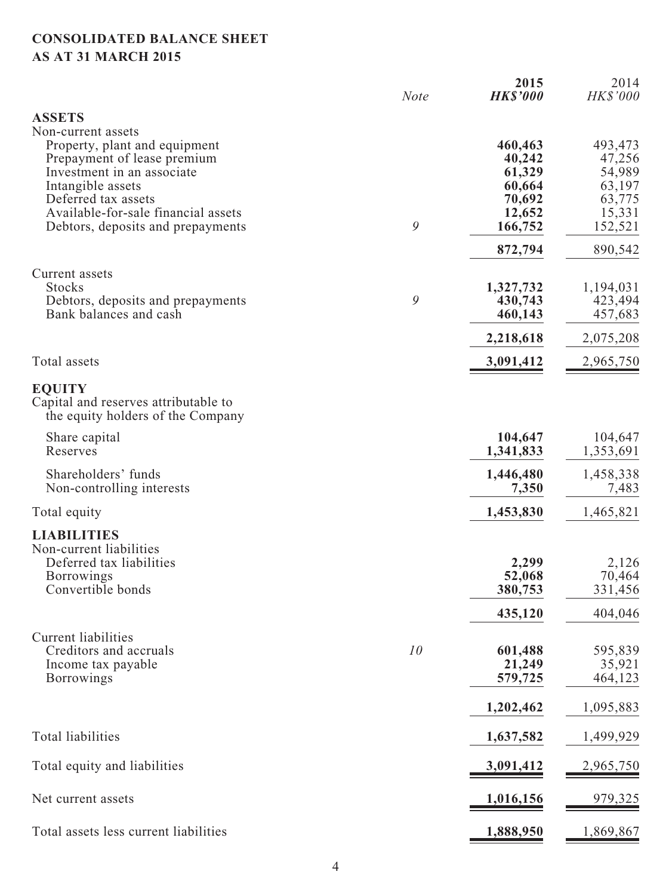# **CONSOLIDATED BALANCE SHEET AS AT 31 MARCH 2015**

|                                                                           | <b>Note</b> | 2015<br><b>HK\$'000</b> | 2014<br>HK\$'000     |
|---------------------------------------------------------------------------|-------------|-------------------------|----------------------|
| <b>ASSETS</b><br>Non-current assets                                       |             |                         |                      |
| Property, plant and equipment<br>Prepayment of lease premium              |             | 460,463<br>40,242       | 493,473<br>47,256    |
| Investment in an associate                                                |             | 61,329                  | 54,989               |
| Intangible assets<br>Deferred tax assets                                  |             | 60,664<br>70,692        | 63,197<br>63,775     |
| Available-for-sale financial assets                                       |             | 12,652                  | 15,331               |
| Debtors, deposits and prepayments                                         | 9           | 166,752                 | 152,521              |
|                                                                           |             | 872,794                 | 890,542              |
| Current assets                                                            |             |                         |                      |
| <b>Stocks</b><br>Debtors, deposits and prepayments                        | 9           | 1,327,732<br>430,743    | 1,194,031<br>423,494 |
| Bank balances and cash                                                    |             | 460,143                 | 457,683              |
|                                                                           |             | 2,218,618               | 2,075,208            |
| Total assets                                                              |             | 3,091,412               | 2,965,750            |
| <b>EQUITY</b>                                                             |             |                         |                      |
| Capital and reserves attributable to<br>the equity holders of the Company |             |                         |                      |
| Share capital<br>Reserves                                                 |             | 104,647<br>1,341,833    | 104,647<br>1,353,691 |
| Shareholders' funds                                                       |             | 1,446,480               | 1,458,338            |
| Non-controlling interests                                                 |             | 7,350                   | 7,483                |
| Total equity                                                              |             | 1,453,830               | 1,465,821            |
| <b>LIABILITIES</b>                                                        |             |                         |                      |
| Non-current liabilities<br>Deferred tax liabilities                       |             | 2,299                   | 2,126                |
| <b>Borrowings</b>                                                         |             | 52,068                  | 70,464               |
| Convertible bonds                                                         |             | 380,753                 | 331,456              |
|                                                                           |             | 435,120                 | 404,046              |
| <b>Current liabilities</b>                                                |             |                         |                      |
| Creditors and accruals<br>Income tax payable                              | 10          | 601,488<br>21,249       | 595,839<br>35,921    |
| <b>Borrowings</b>                                                         |             | 579,725                 | 464,123              |
|                                                                           |             | 1,202,462               | 1,095,883            |
| <b>Total liabilities</b>                                                  |             | 1,637,582               | 1,499,929            |
| Total equity and liabilities                                              |             | 3,091,412               | 2,965,750            |
| Net current assets                                                        |             | 1,016,156               | 979,325              |
| Total assets less current liabilities                                     |             | 1,888,950               | 1,869,867            |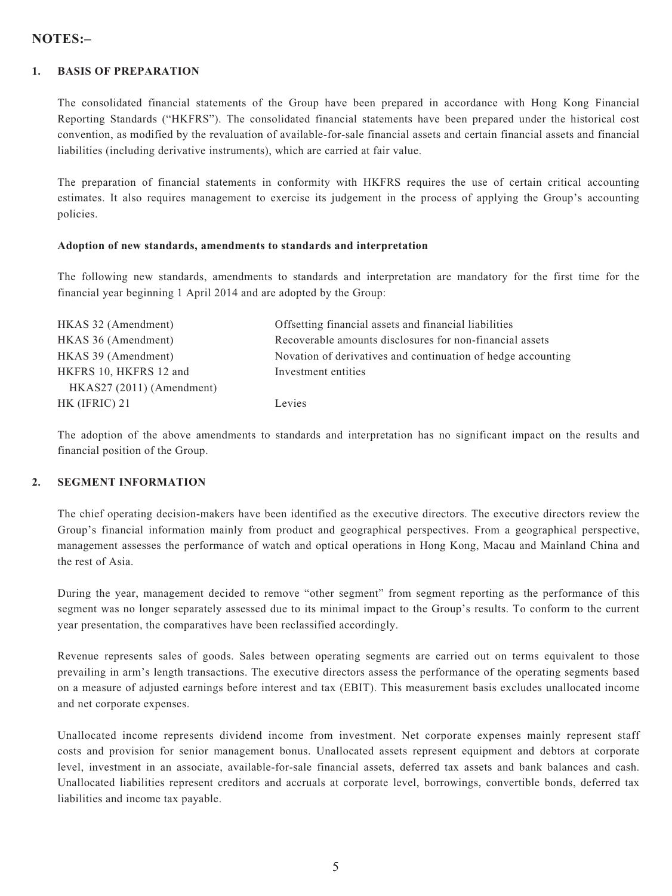# **NOTES:–**

#### **1. BASIS OF PREPARATION**

The consolidated financial statements of the Group have been prepared in accordance with Hong Kong Financial Reporting Standards ("HKFRS"). The consolidated financial statements have been prepared under the historical cost convention, as modified by the revaluation of available-for-sale financial assets and certain financial assets and financial liabilities (including derivative instruments), which are carried at fair value.

The preparation of financial statements in conformity with HKFRS requires the use of certain critical accounting estimates. It also requires management to exercise its judgement in the process of applying the Group's accounting policies.

#### **Adoption of new standards, amendments to standards and interpretation**

The following new standards, amendments to standards and interpretation are mandatory for the first time for the financial year beginning 1 April 2014 and are adopted by the Group:

| HKAS 32 (Amendment)      | Offsetting financial assets and financial liabilities        |
|--------------------------|--------------------------------------------------------------|
| HKAS 36 (Amendment)      | Recoverable amounts disclosures for non-financial assets     |
| HKAS 39 (Amendment)      | Novation of derivatives and continuation of hedge accounting |
| HKFRS 10, HKFRS 12 and   | Investment entities                                          |
| HKAS27(2011) (Amendment) |                                                              |
| HK (IFRIC) 21            | Levies                                                       |

The adoption of the above amendments to standards and interpretation has no significant impact on the results and financial position of the Group.

#### **2. SEGMENT INFORMATION**

The chief operating decision-makers have been identified as the executive directors. The executive directors review the Group's financial information mainly from product and geographical perspectives. From a geographical perspective, management assesses the performance of watch and optical operations in Hong Kong, Macau and Mainland China and the rest of Asia.

During the year, management decided to remove "other segment" from segment reporting as the performance of this segment was no longer separately assessed due to its minimal impact to the Group's results. To conform to the current year presentation, the comparatives have been reclassified accordingly.

Revenue represents sales of goods. Sales between operating segments are carried out on terms equivalent to those prevailing in arm's length transactions. The executive directors assess the performance of the operating segments based on a measure of adjusted earnings before interest and tax (EBIT). This measurement basis excludes unallocated income and net corporate expenses.

Unallocated income represents dividend income from investment. Net corporate expenses mainly represent staff costs and provision for senior management bonus. Unallocated assets represent equipment and debtors at corporate level, investment in an associate, available-for-sale financial assets, deferred tax assets and bank balances and cash. Unallocated liabilities represent creditors and accruals at corporate level, borrowings, convertible bonds, deferred tax liabilities and income tax payable.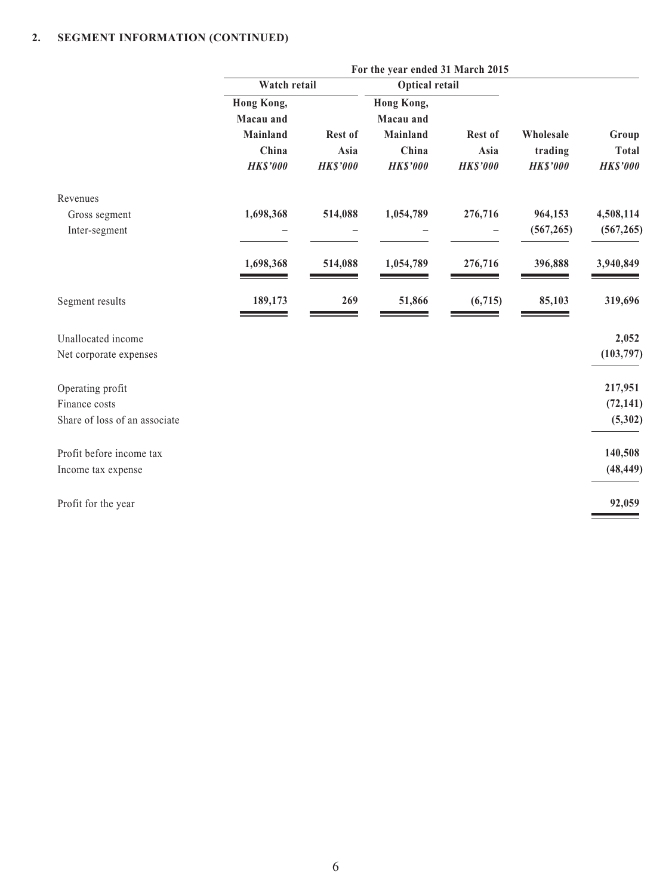|                               | For the year ended 31 March 2015 |                 |                       |                 |                 |                 |  |
|-------------------------------|----------------------------------|-----------------|-----------------------|-----------------|-----------------|-----------------|--|
|                               | Watch retail                     |                 | <b>Optical retail</b> |                 |                 |                 |  |
|                               | <b>Hong Kong,</b>                |                 | Hong Kong,            |                 |                 |                 |  |
|                               | Macau and                        |                 | Macau and             |                 |                 |                 |  |
|                               | Mainland                         | Rest of         | Mainland              | Rest of         | Wholesale       | Group           |  |
|                               | China                            | Asia            | China                 | Asia            | trading         | <b>Total</b>    |  |
|                               | <b>HK\$'000</b>                  | <b>HK\$'000</b> | <b>HK\$'000</b>       | <b>HK\$'000</b> | <b>HK\$'000</b> | <b>HK\$'000</b> |  |
| Revenues                      |                                  |                 |                       |                 |                 |                 |  |
| Gross segment                 | 1,698,368                        | 514,088         | 1,054,789             | 276,716         | 964,153         | 4,508,114       |  |
| Inter-segment                 |                                  |                 |                       |                 | (567, 265)      | (567, 265)      |  |
|                               | 1,698,368                        | 514,088         | 1,054,789             | 276,716         | 396,888         | 3,940,849       |  |
| Segment results               | 189,173                          | 269             | 51,866                | (6, 715)        | 85,103          | 319,696         |  |
| Unallocated income            |                                  |                 |                       |                 |                 | 2,052           |  |
| Net corporate expenses        |                                  |                 |                       |                 |                 | (103, 797)      |  |
| Operating profit              |                                  |                 |                       |                 |                 | 217,951         |  |
| Finance costs                 |                                  |                 |                       |                 |                 | (72, 141)       |  |
| Share of loss of an associate |                                  |                 |                       |                 |                 | (5, 302)        |  |
| Profit before income tax      |                                  |                 |                       |                 |                 | 140,508         |  |
| Income tax expense            |                                  |                 |                       |                 |                 | (48, 449)       |  |
| Profit for the year           |                                  |                 |                       |                 |                 | 92,059          |  |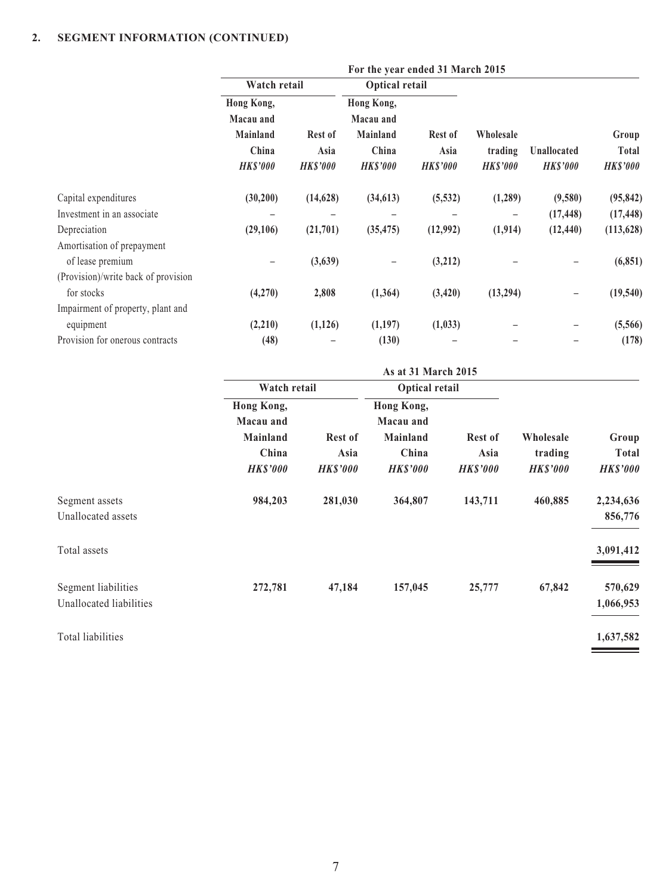| For the year ended 31 March 2015 |                 |                 |                 |                       |                 |                 |
|----------------------------------|-----------------|-----------------|-----------------|-----------------------|-----------------|-----------------|
|                                  |                 |                 |                 |                       |                 |                 |
| Hong Kong,                       |                 | Hong Kong,      |                 |                       |                 |                 |
| Macau and                        |                 | Macau and       |                 |                       |                 |                 |
| <b>Mainland</b>                  | Rest of         | Mainland        | Rest of         | Wholesale             |                 | Group           |
| China                            | Asia            | China           | Asia            | trading               | Unallocated     | Total           |
| <b>HK\$'000</b>                  | <b>HK\$'000</b> | <b>HK\$'000</b> | <b>HK\$'000</b> | <b>HK\$'000</b>       | <b>HK\$'000</b> | <b>HK\$'000</b> |
| (30,200)                         | (14, 628)       | (34, 613)       | (5, 532)        | (1, 289)              | (9,580)         | (95, 842)       |
|                                  |                 |                 |                 |                       | (17, 448)       | (17, 448)       |
| (29,106)                         | (21,701)        | (35, 475)       | (12,992)        | (1, 914)              | (12, 440)       | (113, 628)      |
|                                  |                 |                 |                 |                       |                 |                 |
|                                  | (3,639)         |                 | (3,212)         |                       |                 | (6, 851)        |
|                                  |                 |                 |                 |                       |                 |                 |
| (4,270)                          | 2,808           | (1, 364)        | (3, 420)        | (13,294)              | -               | (19, 540)       |
|                                  |                 |                 |                 |                       |                 |                 |
| (2,210)                          | (1, 126)        | (1,197)         | (1,033)         |                       |                 | (5,566)         |
| (48)                             |                 | (130)           |                 |                       |                 | (178)           |
|                                  |                 | Watch retail    |                 | <b>Optical retail</b> |                 |                 |

|                         | As at 31 March 2015     |                 |                         |                 |                 |                 |  |
|-------------------------|-------------------------|-----------------|-------------------------|-----------------|-----------------|-----------------|--|
|                         | Watch retail            | Optical retail  |                         |                 |                 |                 |  |
|                         | Hong Kong,<br>Macau and |                 | Hong Kong,<br>Macau and |                 |                 |                 |  |
|                         | <b>Mainland</b>         | <b>Rest of</b>  | Mainland                | <b>Rest of</b>  | Wholesale       | Group           |  |
|                         | China                   | Asia            | China                   | Asia            | trading         | <b>Total</b>    |  |
|                         | <b>HK\$'000</b>         | <b>HK\$'000</b> | <b>HK\$'000</b>         | <b>HK\$'000</b> | <b>HK\$'000</b> | <b>HK\$'000</b> |  |
| Segment assets          | 984,203                 | 281,030         | 364,807                 | 143,711         | 460,885         | 2,234,636       |  |
| Unallocated assets      |                         |                 |                         |                 |                 | 856,776         |  |
| Total assets            |                         |                 |                         |                 |                 | 3,091,412       |  |
| Segment liabilities     | 272,781                 | 47,184          | 157,045                 | 25,777          | 67,842          | 570,629         |  |
| Unallocated liabilities |                         |                 |                         |                 |                 | 1,066,953       |  |
| Total liabilities       |                         |                 |                         |                 |                 | 1,637,582       |  |

 $\overline{\phantom{a}}$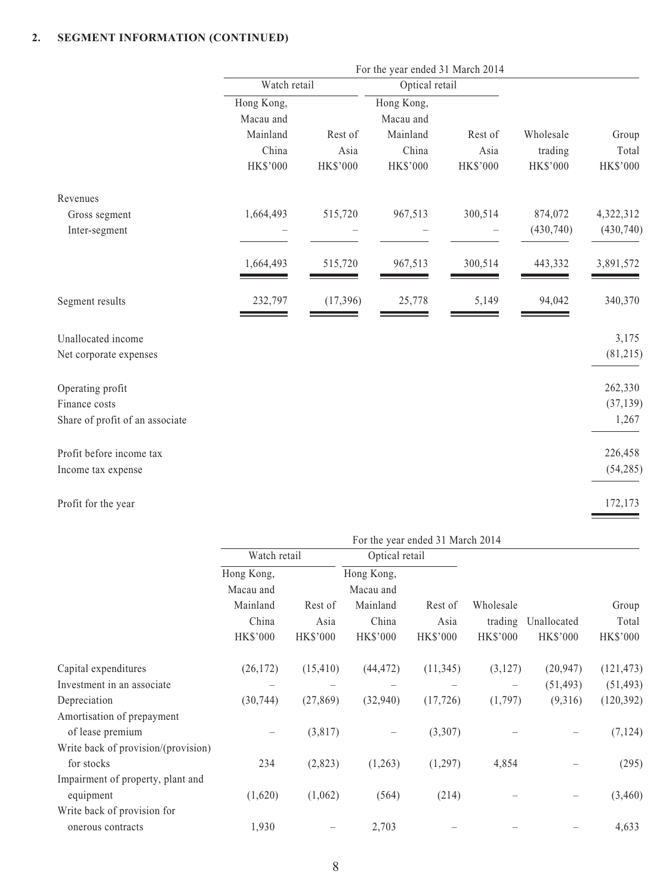|                                 | For the year ended 31 March 2014 |           |                |          |            |            |  |
|---------------------------------|----------------------------------|-----------|----------------|----------|------------|------------|--|
|                                 | Watch retail                     |           | Optical retail |          |            |            |  |
|                                 | Hong Kong,                       |           | Hong Kong,     |          |            |            |  |
|                                 | Macau and                        |           | Macau and      |          |            |            |  |
|                                 | Mainland                         | Rest of   | Mainland       | Rest of  | Wholesale  | Group      |  |
|                                 | China                            | Asia      | China          | Asia     | trading    | Total      |  |
|                                 | HK\$'000                         | HK\$'000  | HK\$'000       | HK\$'000 | HK\$'000   | HK\$'000   |  |
| Revenues                        |                                  |           |                |          |            |            |  |
| Gross segment                   | 1,664,493                        | 515,720   | 967,513        | 300,514  | 874,072    | 4,322,312  |  |
| Inter-segment                   |                                  |           |                |          | (430, 740) | (430, 740) |  |
|                                 | 1,664,493                        | 515,720   | 967,513        | 300,514  | 443,332    | 3,891,572  |  |
| Segment results                 | 232,797                          | (17, 396) | 25,778         | 5,149    | 94,042     | 340,370    |  |
| Unallocated income              |                                  |           |                |          |            | 3,175      |  |
| Net corporate expenses          |                                  |           |                |          |            | (81,215)   |  |
| Operating profit                |                                  |           |                |          |            | 262,330    |  |
| Finance costs                   |                                  |           |                |          |            | (37, 139)  |  |
| Share of profit of an associate |                                  |           |                |          |            | 1,267      |  |
| Profit before income tax        |                                  |           |                |          |            | 226,458    |  |
| Income tax expense              |                                  |           |                |          |            | (54, 285)  |  |
| Profit for the year             |                                  |           |                |          |            | 172,173    |  |

|                                     | For the year ended 31 March 2014 |                         |                          |                         |                            |                                |                          |
|-------------------------------------|----------------------------------|-------------------------|--------------------------|-------------------------|----------------------------|--------------------------------|--------------------------|
|                                     | Watch retail                     |                         | Optical retail           |                         |                            |                                |                          |
|                                     | Hong Kong,                       |                         | Hong Kong,               |                         |                            |                                |                          |
|                                     | Macau and                        |                         | Macau and                |                         |                            |                                |                          |
|                                     | Mainland                         | Rest of                 | Mainland                 | Rest of                 | Wholesale                  |                                | Group                    |
|                                     | China<br><b>HK\$'000</b>         | Asia<br><b>HK\$'000</b> | China<br><b>HK\$'000</b> | Asia<br><b>HK\$'000</b> | trading<br><b>HK\$'000</b> | Unallocated<br><b>HK\$'000</b> | Total<br><b>HK\$'000</b> |
| Capital expenditures                | (26, 172)                        | (15, 410)               | (44, 472)                | (11, 345)               | (3,127)                    | (20, 947)                      | (121, 473)               |
| Investment in an associate          |                                  |                         |                          |                         |                            | (51, 493)                      | (51, 493)                |
| Depreciation                        | (30, 744)                        | (27, 869)               | (32,940)                 | (17, 726)               | (1,797)                    | (9,316)                        | (120, 392)               |
| Amortisation of prepayment          |                                  |                         |                          |                         |                            |                                |                          |
| of lease premium                    |                                  | (3,817)                 |                          | (3,307)                 |                            |                                | (7, 124)                 |
| Write back of provision/(provision) |                                  |                         |                          |                         |                            |                                |                          |
| for stocks                          | 234                              | (2,823)                 | (1,263)                  | (1,297)                 | 4,854                      |                                | (295)                    |
| Impairment of property, plant and   |                                  |                         |                          |                         |                            |                                |                          |
| equipment                           | (1,620)                          | (1,062)                 | (564)                    | (214)                   |                            |                                | (3,460)                  |
| Write back of provision for         |                                  |                         |                          |                         |                            |                                |                          |
| onerous contracts                   | 1,930                            |                         | 2,703                    |                         |                            |                                | 4,633                    |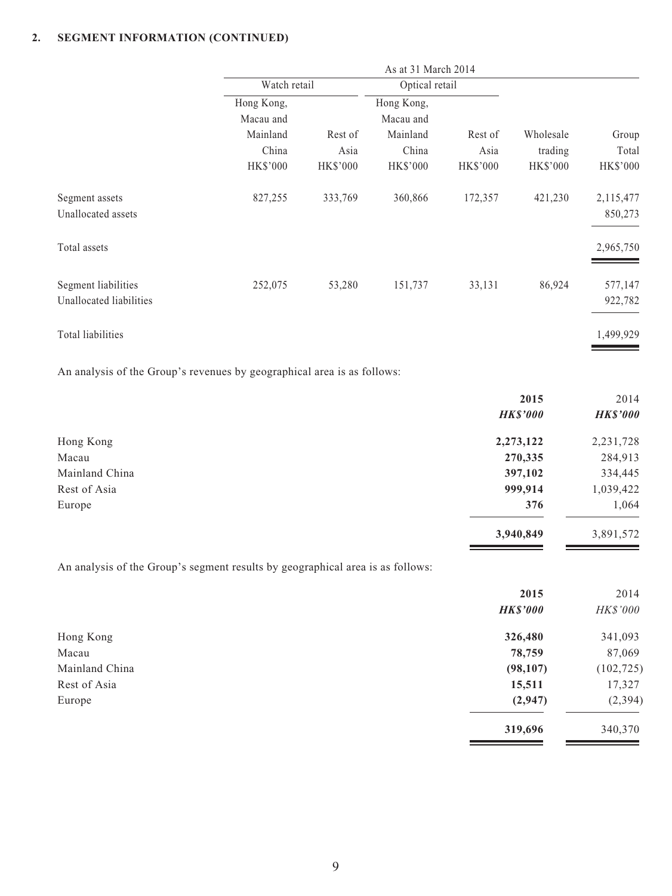|                         | Watch retail    |                 | Optical retail  |                 |                 |           |
|-------------------------|-----------------|-----------------|-----------------|-----------------|-----------------|-----------|
|                         | Hong Kong,      |                 | Hong Kong,      |                 |                 |           |
|                         | Macau and       |                 | Macau and       |                 |                 |           |
|                         | Mainland        | Rest of         | Mainland        | Rest of         | Wholesale       | Group     |
|                         | China           | Asia            | China           | Asia            | trading         | Total     |
|                         | <b>HK\$'000</b> | <b>HK\$'000</b> | <b>HK\$'000</b> | <b>HK\$'000</b> | <b>HK\$'000</b> | HK\$'000  |
| Segment assets          | 827,255         | 333,769         | 360,866         | 172,357         | 421,230         | 2,115,477 |
| Unallocated assets      |                 |                 |                 |                 |                 | 850,273   |
| Total assets            |                 |                 |                 |                 |                 | 2,965,750 |
| Segment liabilities     | 252,075         | 53,280          | 151,737         | 33,131          | 86,924          | 577,147   |
| Unallocated liabilities |                 |                 |                 |                 |                 | 922,782   |
| Total liabilities       |                 |                 |                 |                 |                 | 1,499,929 |
|                         |                 |                 |                 |                 |                 |           |

An analysis of the Group's revenues by geographical area is as follows:

|                | 2015            | 2014            |
|----------------|-----------------|-----------------|
|                | <b>HK\$'000</b> | <b>HK\$'000</b> |
| Hong Kong      | 2,273,122       | 2,231,728       |
| Macau          | 270,335         | 284,913         |
| Mainland China | 397,102         | 334,445         |
| Rest of Asia   | 999,914         | 1,039,422       |
| Europe         | 376             | 1,064           |
|                | 3,940,849       | 3,891,572       |

An analysis of the Group's segment results by geographical area is as follows:

| 2015            | 2014       |
|-----------------|------------|
| <b>HK\$'000</b> | HK\$'000   |
| 326,480         | 341,093    |
| 78,759          | 87,069     |
| (98,107)        | (102, 725) |
| 15,511          | 17,327     |
| (2,947)         | (2, 394)   |
| 319,696         | 340,370    |
|                 |            |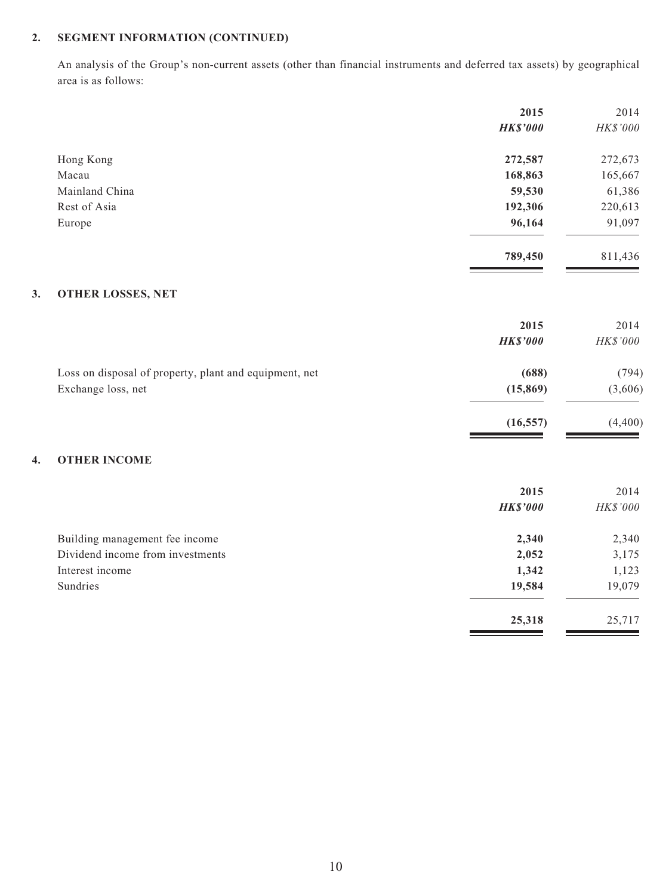An analysis of the Group's non-current assets (other than financial instruments and deferred tax assets) by geographical area is as follows:

| 2015            | 2014         |
|-----------------|--------------|
| <b>HK\$'000</b> | HK\$'000     |
| 272,587         | 272,673      |
| 168,863         | 165,667      |
| 59,530          | 61,386       |
| 192,306         | 220,613      |
| 96,164          | 91,097       |
| 789,450         | 811,436      |
|                 |              |
| 2015            | 2014         |
| <b>HK\$'000</b> | $H K\$ '000$ |
| (688)           | (794)        |
| (15, 869)       | (3,606)      |
| (16, 557)       | (4,400)      |
|                 |              |
| 2015            | 2014         |
| <b>HK\$'000</b> | HK\$'000     |
| 2,340           | 2,340        |
| 2,052           | 3,175        |
| 1,342           | 1,123        |
| 19,584          | 19,079       |
| 25,318          | 25,717       |
|                 |              |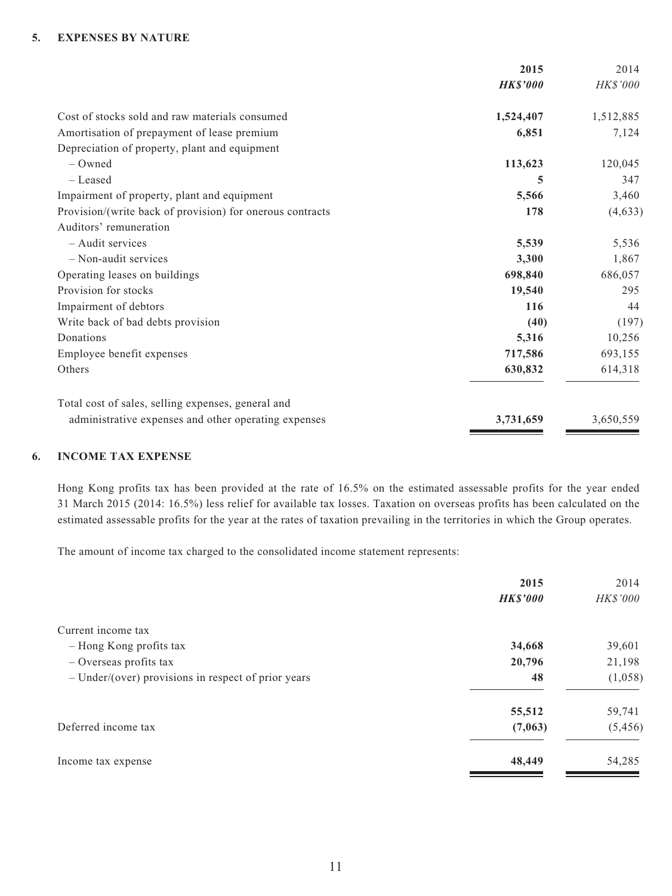#### **5. EXPENSES BY NATURE**

|                                                           | 2015            | 2014      |
|-----------------------------------------------------------|-----------------|-----------|
|                                                           | <b>HK\$'000</b> | HK\$'000  |
| Cost of stocks sold and raw materials consumed            | 1,524,407       | 1,512,885 |
| Amortisation of prepayment of lease premium               | 6,851           | 7,124     |
| Depreciation of property, plant and equipment             |                 |           |
| $-$ Owned                                                 | 113,623         | 120,045   |
| - Leased                                                  | 5               | 347       |
| Impairment of property, plant and equipment               | 5,566           | 3,460     |
| Provision/(write back of provision) for onerous contracts | 178             | (4, 633)  |
| Auditors' remuneration                                    |                 |           |
| - Audit services                                          | 5,539           | 5,536     |
| $-$ Non-audit services                                    | 3,300           | 1,867     |
| Operating leases on buildings                             | 698,840         | 686,057   |
| Provision for stocks                                      | 19,540          | 295       |
| Impairment of debtors                                     | 116             | 44        |
| Write back of bad debts provision                         | (40)            | (197)     |
| Donations                                                 | 5,316           | 10,256    |
| Employee benefit expenses                                 | 717,586         | 693,155   |
| Others                                                    | 630,832         | 614,318   |
| Total cost of sales, selling expenses, general and        |                 |           |
| administrative expenses and other operating expenses      | 3,731,659       | 3,650,559 |
|                                                           |                 |           |

#### **6. INCOME TAX EXPENSE**

Hong Kong profits tax has been provided at the rate of 16.5% on the estimated assessable profits for the year ended 31 March 2015 (2014: 16.5%) less relief for available tax losses. Taxation on overseas profits has been calculated on the estimated assessable profits for the year at the rates of taxation prevailing in the territories in which the Group operates.

The amount of income tax charged to the consolidated income statement represents:

|                                                       | 2015            | 2014     |
|-------------------------------------------------------|-----------------|----------|
|                                                       | <b>HK\$'000</b> | HK\$'000 |
| Current income tax                                    |                 |          |
| - Hong Kong profits tax                               | 34,668          | 39,601   |
| - Overseas profits tax                                | 20,796          | 21,198   |
| $-$ Under/(over) provisions in respect of prior years | 48              | (1,058)  |
|                                                       | 55,512          | 59,741   |
| Deferred income tax                                   | (7,063)         | (5, 456) |
| Income tax expense                                    | 48,449          | 54,285   |
|                                                       |                 |          |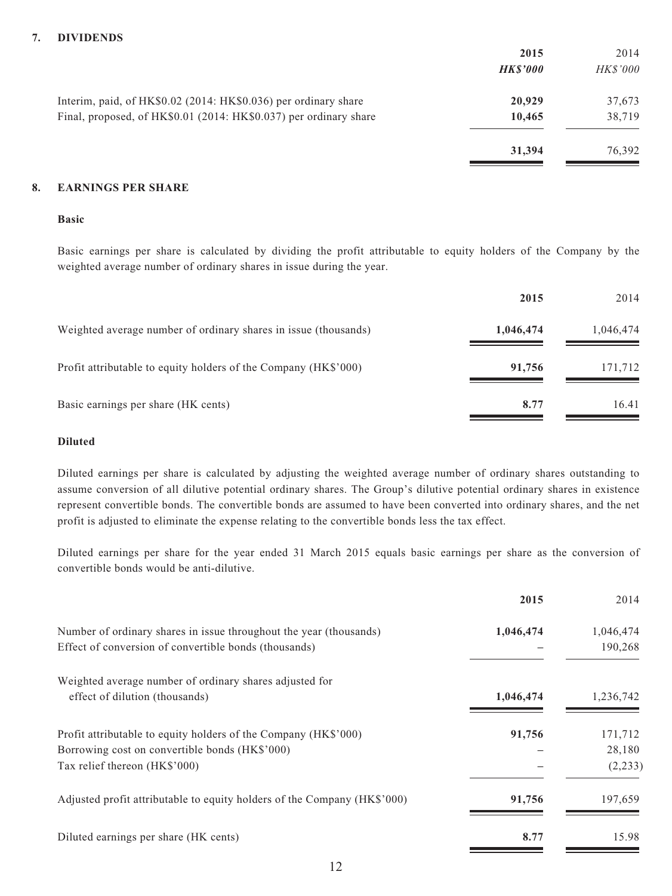#### **7. DIVIDENDS**

|                                                                   | 2015           | 2014            |
|-------------------------------------------------------------------|----------------|-----------------|
|                                                                   | <b>HKS'000</b> | <b>HK\$'000</b> |
| Interim, paid, of HK\$0.02 (2014: HK\$0.036) per ordinary share   | 20,929         | 37,673          |
| Final, proposed, of HK\$0.01 (2014: HK\$0.037) per ordinary share | 10,465         | 38,719          |
|                                                                   | 31,394         | 76.392          |

#### **8. EARNINGS PER SHARE**

#### **Basic**

Basic earnings per share is calculated by dividing the profit attributable to equity holders of the Company by the weighted average number of ordinary shares in issue during the year.

|                                                                 | 2015      | 2014      |
|-----------------------------------------------------------------|-----------|-----------|
| Weighted average number of ordinary shares in issue (thousands) | 1,046,474 | 1,046,474 |
| Profit attributable to equity holders of the Company (HK\$'000) | 91,756    | 171,712   |
| Basic earnings per share (HK cents)                             | 8.77      | 16.41     |

#### **Diluted**

Diluted earnings per share is calculated by adjusting the weighted average number of ordinary shares outstanding to assume conversion of all dilutive potential ordinary shares. The Group's dilutive potential ordinary shares in existence represent convertible bonds. The convertible bonds are assumed to have been converted into ordinary shares, and the net profit is adjusted to eliminate the expense relating to the convertible bonds less the tax effect.

Diluted earnings per share for the year ended 31 March 2015 equals basic earnings per share as the conversion of convertible bonds would be anti-dilutive.

| 2015      | 2014      |
|-----------|-----------|
| 1,046,474 | 1,046,474 |
|           | 190,268   |
|           |           |
| 1,046,474 | 1,236,742 |
| 91,756    | 171,712   |
|           | 28,180    |
|           | (2, 233)  |
| 91,756    | 197,659   |
| 8.77      | 15.98     |
|           |           |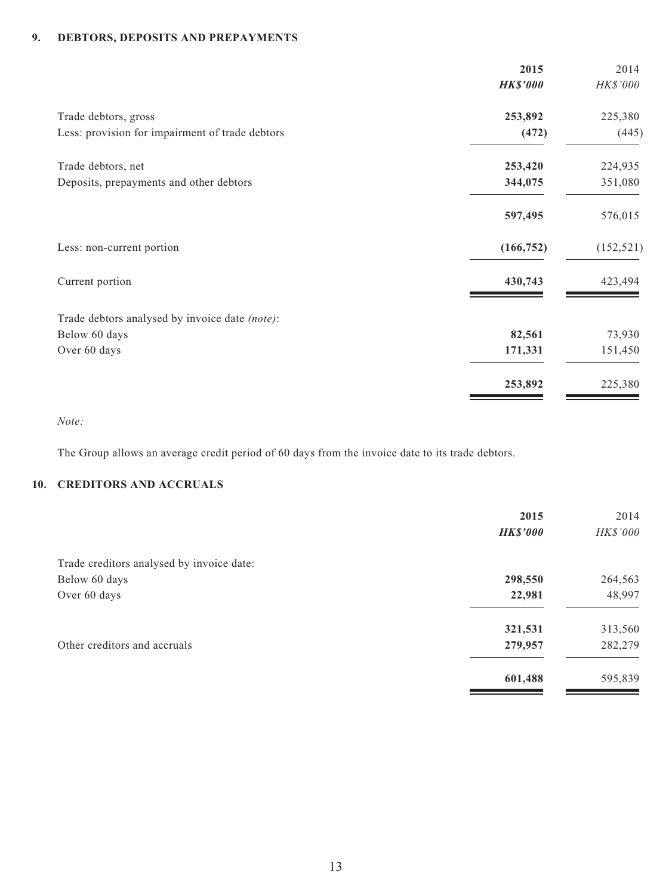# **9. DEBTORS, DEPOSITS AND PREPAYMENTS**

|                                                 | 2015            | 2014       |
|-------------------------------------------------|-----------------|------------|
|                                                 | <b>HK\$'000</b> | HK\$'000   |
| Trade debtors, gross                            | 253,892         | 225,380    |
| Less: provision for impairment of trade debtors | (472)           | (445)      |
| Trade debtors, net                              | 253,420         | 224,935    |
| Deposits, prepayments and other debtors         | 344,075         | 351,080    |
|                                                 | 597,495         | 576,015    |
| Less: non-current portion                       | (166, 752)      | (152, 521) |
| Current portion                                 | 430,743         | 423,494    |
| Trade debtors analysed by invoice date (note):  |                 |            |
| Below 60 days                                   | 82,561          | 73,930     |
| Over 60 days                                    | 171,331         | 151,450    |
|                                                 | 253,892         | 225,380    |

*Note:*

The Group allows an average credit period of 60 days from the invoice date to its trade debtors.

# **10. CREDITORS AND ACCRUALS**

|                                           | 2015<br><b>HK\$'000</b> | 2014<br>HK\$'000 |
|-------------------------------------------|-------------------------|------------------|
| Trade creditors analysed by invoice date: |                         |                  |
| Below 60 days                             | 298,550                 | 264,563          |
| Over 60 days                              | 22,981                  | 48,997           |
|                                           | 321,531                 | 313,560          |
| Other creditors and accruals              | 279,957                 | 282,279          |
|                                           | 601,488                 | 595,839          |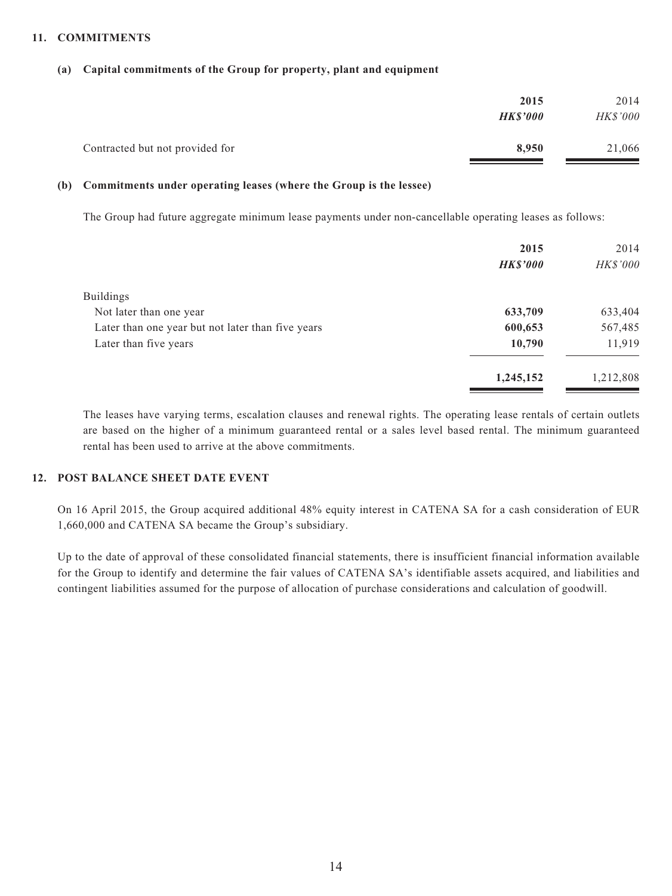#### **11. COMMITMENTS**

#### **(a) Capital commitments of the Group for property, plant and equipment**

|                                 | 2015            | 2014            |
|---------------------------------|-----------------|-----------------|
|                                 | <b>HK\$'000</b> | <b>HK\$'000</b> |
| Contracted but not provided for | 8.950           | 21,066          |

#### **(b) Commitments under operating leases (where the Group is the lessee)**

The Group had future aggregate minimum lease payments under non-cancellable operating leases as follows:

|                                                   | 2015            | 2014            |
|---------------------------------------------------|-----------------|-----------------|
|                                                   | <b>HK\$'000</b> | <b>HK\$'000</b> |
| <b>Buildings</b>                                  |                 |                 |
| Not later than one year                           | 633,709         | 633,404         |
| Later than one year but not later than five years | 600,653         | 567,485         |
| Later than five years                             | 10,790          | 11,919          |
|                                                   | 1,245,152       | 1,212,808       |

The leases have varying terms, escalation clauses and renewal rights. The operating lease rentals of certain outlets are based on the higher of a minimum guaranteed rental or a sales level based rental. The minimum guaranteed rental has been used to arrive at the above commitments.

## **12. POST BALANCE SHEET DATE EVENT**

On 16 April 2015, the Group acquired additional 48% equity interest in CATENA SA for a cash consideration of EUR 1,660,000 and CATENA SA became the Group's subsidiary.

Up to the date of approval of these consolidated financial statements, there is insufficient financial information available for the Group to identify and determine the fair values of CATENA SA's identifiable assets acquired, and liabilities and contingent liabilities assumed for the purpose of allocation of purchase considerations and calculation of goodwill.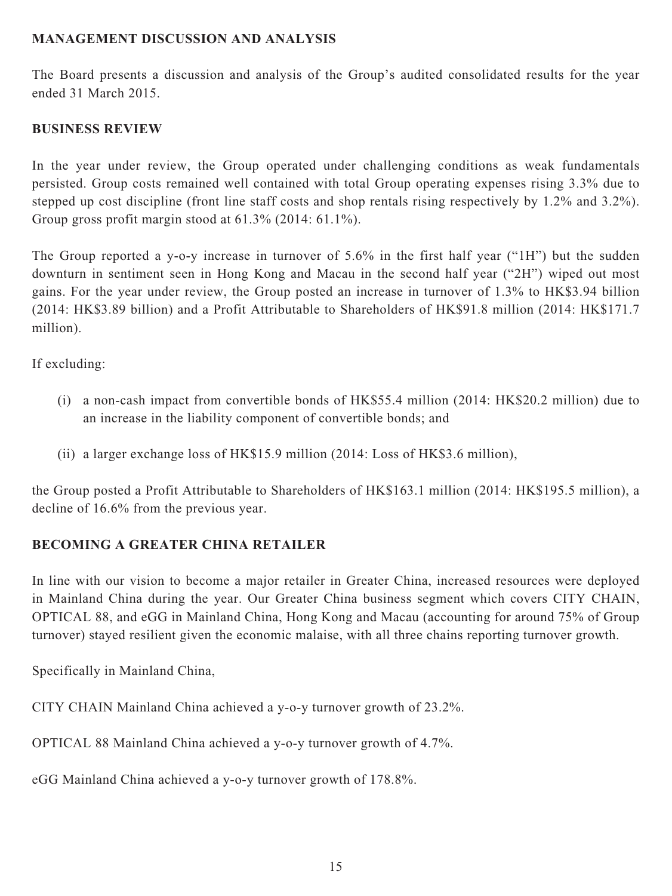# **MANAGEMENT DISCUSSION AND ANALYSIS**

The Board presents a discussion and analysis of the Group's audited consolidated results for the year ended 31 March 2015.

# **BUSINESS REVIEW**

In the year under review, the Group operated under challenging conditions as weak fundamentals persisted. Group costs remained well contained with total Group operating expenses rising 3.3% due to stepped up cost discipline (front line staff costs and shop rentals rising respectively by 1.2% and 3.2%). Group gross profit margin stood at 61.3% (2014: 61.1%).

The Group reported a y-o-y increase in turnover of 5.6% in the first half year ("1H") but the sudden downturn in sentiment seen in Hong Kong and Macau in the second half year ("2H") wiped out most gains. For the year under review, the Group posted an increase in turnover of 1.3% to HK\$3.94 billion (2014: HK\$3.89 billion) and a Profit Attributable to Shareholders of HK\$91.8 million (2014: HK\$171.7 million).

If excluding:

- (i) a non-cash impact from convertible bonds of HK\$55.4 million (2014: HK\$20.2 million) due to an increase in the liability component of convertible bonds; and
- (ii) a larger exchange loss of HK\$15.9 million (2014: Loss of HK\$3.6 million),

the Group posted a Profit Attributable to Shareholders of HK\$163.1 million (2014: HK\$195.5 million), a decline of 16.6% from the previous year.

# **BECOMING A GREATER CHINA RETAILER**

In line with our vision to become a major retailer in Greater China, increased resources were deployed in Mainland China during the year. Our Greater China business segment which covers CITY CHAIN, OPTICAL 88, and eGG in Mainland China, Hong Kong and Macau (accounting for around 75% of Group turnover) stayed resilient given the economic malaise, with all three chains reporting turnover growth.

Specifically in Mainland China,

CITY CHAIN Mainland China achieved a y-o-y turnover growth of 23.2%.

OPTICAL 88 Mainland China achieved a y-o-y turnover growth of 4.7%.

eGG Mainland China achieved a y-o-y turnover growth of 178.8%.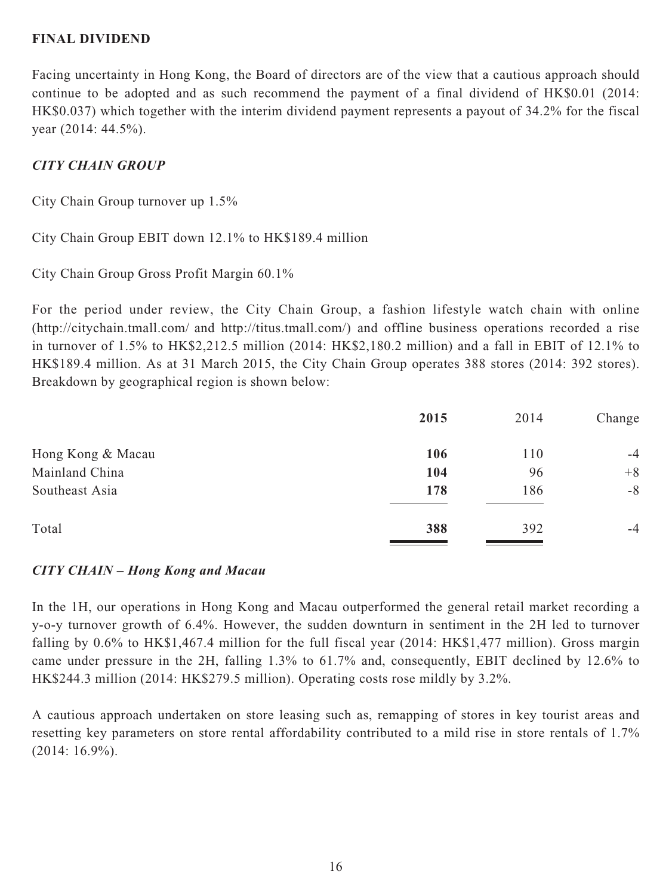## **FINAL DIVIDEND**

Facing uncertainty in Hong Kong, the Board of directors are of the view that a cautious approach should continue to be adopted and as such recommend the payment of a final dividend of HK\$0.01 (2014: HK\$0.037) which together with the interim dividend payment represents a payout of 34.2% for the fiscal year (2014: 44.5%).

# *CITY CHAIN GROUP*

City Chain Group turnover up 1.5%

City Chain Group EBIT down 12.1% to HK\$189.4 million

City Chain Group Gross Profit Margin 60.1%

For the period under review, the City Chain Group, a fashion lifestyle watch chain with online (http://citychain.tmall.com/ and [http://titus.tmall.com/\)](http://titus.tmall.com/) and offline business operations recorded a rise in turnover of 1.5% to HK\$2,212.5 million (2014: HK\$2,180.2 million) and a fall in EBIT of 12.1% to HK\$189.4 million. As at 31 March 2015, the City Chain Group operates 388 stores (2014: 392 stores). Breakdown by geographical region is shown below:

|                   | 2015 | 2014 | Change |
|-------------------|------|------|--------|
| Hong Kong & Macau | 106  | 110  | $-4$   |
| Mainland China    | 104  | 96   | $+8$   |
| Southeast Asia    | 178  | 186  | $-8$   |
| Total             | 388  | 392  | $-4$   |
|                   |      |      |        |

## *CITY CHAIN – Hong Kong and Macau*

In the 1H, our operations in Hong Kong and Macau outperformed the general retail market recording a y-o-y turnover growth of 6.4%. However, the sudden downturn in sentiment in the 2H led to turnover falling by 0.6% to HK\$1,467.4 million for the full fiscal year (2014: HK\$1,477 million). Gross margin came under pressure in the 2H, falling 1.3% to 61.7% and, consequently, EBIT declined by 12.6% to HK\$244.3 million (2014: HK\$279.5 million). Operating costs rose mildly by 3.2%.

A cautious approach undertaken on store leasing such as, remapping of stores in key tourist areas and resetting key parameters on store rental affordability contributed to a mild rise in store rentals of 1.7% (2014: 16.9%).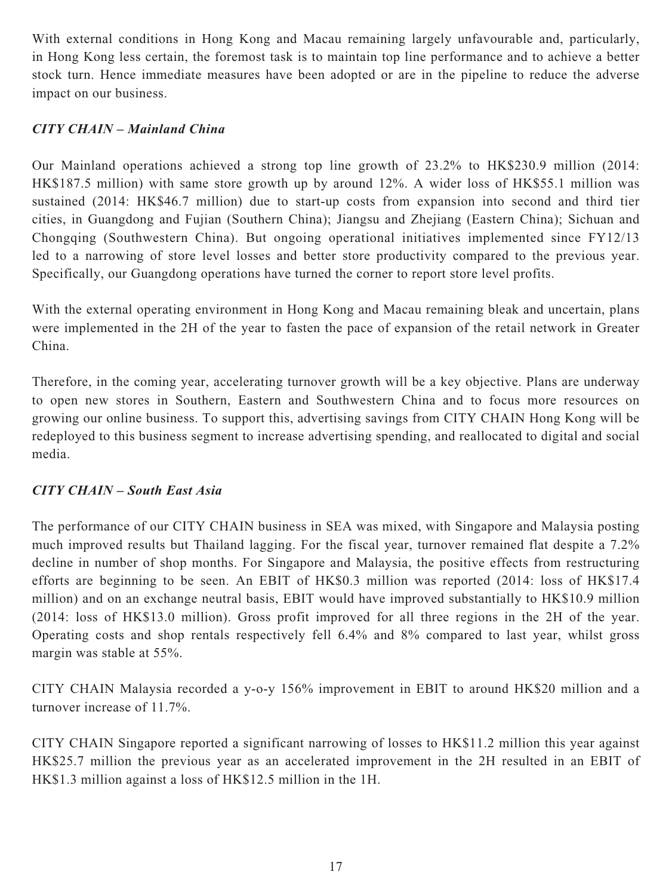With external conditions in Hong Kong and Macau remaining largely unfavourable and, particularly, in Hong Kong less certain, the foremost task is to maintain top line performance and to achieve a better stock turn. Hence immediate measures have been adopted or are in the pipeline to reduce the adverse impact on our business.

# *CITY CHAIN – Mainland China*

Our Mainland operations achieved a strong top line growth of 23.2% to HK\$230.9 million (2014: HK\$187.5 million) with same store growth up by around 12%. A wider loss of HK\$55.1 million was sustained (2014: HK\$46.7 million) due to start-up costs from expansion into second and third tier cities, in Guangdong and Fujian (Southern China); Jiangsu and Zhejiang (Eastern China); Sichuan and Chongqing (Southwestern China). But ongoing operational initiatives implemented since FY12/13 led to a narrowing of store level losses and better store productivity compared to the previous year. Specifically, our Guangdong operations have turned the corner to report store level profits.

With the external operating environment in Hong Kong and Macau remaining bleak and uncertain, plans were implemented in the 2H of the year to fasten the pace of expansion of the retail network in Greater China.

Therefore, in the coming year, accelerating turnover growth will be a key objective. Plans are underway to open new stores in Southern, Eastern and Southwestern China and to focus more resources on growing our online business. To support this, advertising savings from CITY CHAIN Hong Kong will be redeployed to this business segment to increase advertising spending, and reallocated to digital and social media.

# *CITY CHAIN – South East Asia*

The performance of our CITY CHAIN business in SEA was mixed, with Singapore and Malaysia posting much improved results but Thailand lagging. For the fiscal year, turnover remained flat despite a 7.2% decline in number of shop months. For Singapore and Malaysia, the positive effects from restructuring efforts are beginning to be seen. An EBIT of HK\$0.3 million was reported (2014: loss of HK\$17.4 million) and on an exchange neutral basis, EBIT would have improved substantially to HK\$10.9 million (2014: loss of HK\$13.0 million). Gross profit improved for all three regions in the 2H of the year. Operating costs and shop rentals respectively fell 6.4% and 8% compared to last year, whilst gross margin was stable at 55%.

CITY CHAIN Malaysia recorded a y-o-y 156% improvement in EBIT to around HK\$20 million and a turnover increase of 11.7%.

CITY CHAIN Singapore reported a significant narrowing of losses to HK\$11.2 million this year against HK\$25.7 million the previous year as an accelerated improvement in the 2H resulted in an EBIT of HK\$1.3 million against a loss of HK\$12.5 million in the 1H.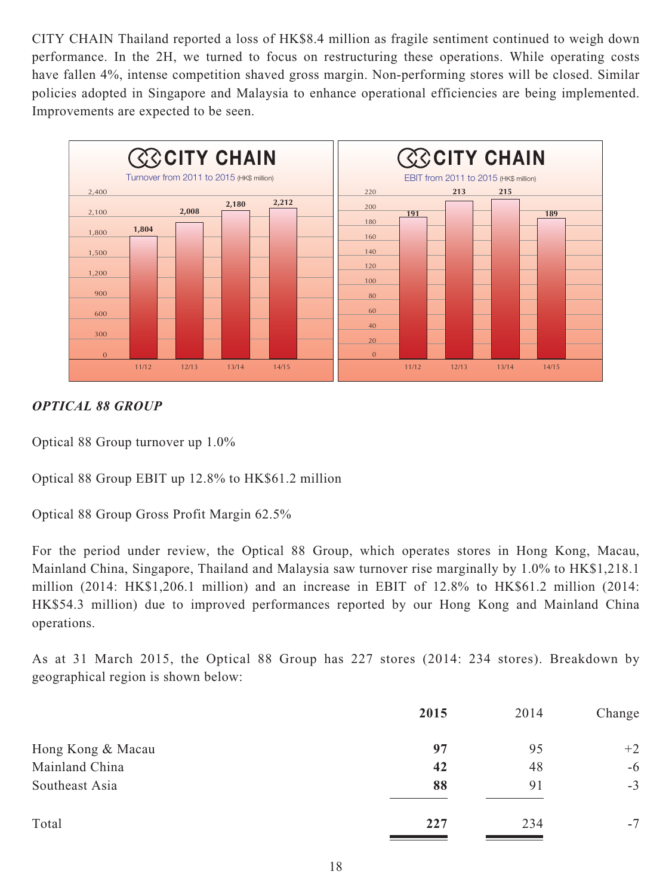CITY CHAIN Thailand reported a loss of HK\$8.4 million as fragile sentiment continued to weigh down performance. In the 2H, we turned to focus on restructuring these operations. While operating costs have fallen 4%, intense competition shaved gross margin. Non-performing stores will be closed. Similar policies adopted in Singapore and Malaysia to enhance operational efficiencies are being implemented. Improvements are expected to be seen.



# *OPTICAL 88 GROUP*

Optical 88 Group turnover up 1.0%

Optical 88 Group EBIT up 12.8% to HK\$61.2 million

Optical 88 Group Gross Profit Margin 62.5%

For the period under review, the Optical 88 Group, which operates stores in Hong Kong, Macau, Mainland China, Singapore, Thailand and Malaysia saw turnover rise marginally by 1.0% to HK\$1,218.1 million (2014: HK\$1,206.1 million) and an increase in EBIT of 12.8% to HK\$61.2 million (2014: HK\$54.3 million) due to improved performances reported by our Hong Kong and Mainland China operations.

As at 31 March 2015, the Optical 88 Group has 227 stores (2014: 234 stores). Breakdown by geographical region is shown below:

|                   | 2015 | 2014 | Change |
|-------------------|------|------|--------|
| Hong Kong & Macau | 97   | 95   | $+2$   |
| Mainland China    | 42   | 48   | $-6$   |
| Southeast Asia    | 88   | 91   | $-3$   |
| Total             | 227  | 234  | $-7$   |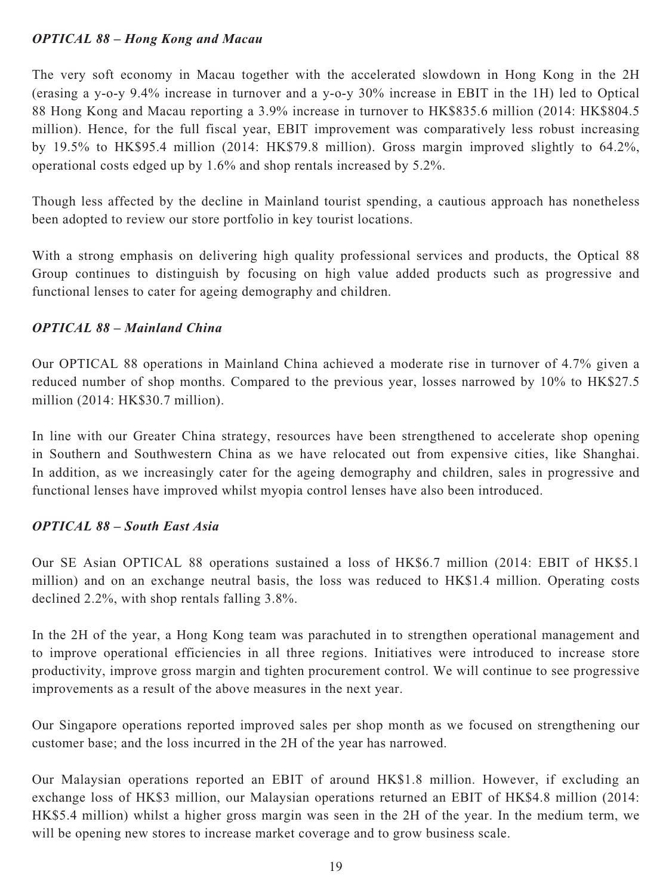# *OPTICAL 88 – Hong Kong and Macau*

The very soft economy in Macau together with the accelerated slowdown in Hong Kong in the 2H (erasing a y-o-y 9.4% increase in turnover and a y-o-y 30% increase in EBIT in the 1H) led to Optical 88 Hong Kong and Macau reporting a 3.9% increase in turnover to HK\$835.6 million (2014: HK\$804.5 million). Hence, for the full fiscal year, EBIT improvement was comparatively less robust increasing by 19.5% to HK\$95.4 million (2014: HK\$79.8 million). Gross margin improved slightly to 64.2%, operational costs edged up by 1.6% and shop rentals increased by 5.2%.

Though less affected by the decline in Mainland tourist spending, a cautious approach has nonetheless been adopted to review our store portfolio in key tourist locations.

With a strong emphasis on delivering high quality professional services and products, the Optical 88 Group continues to distinguish by focusing on high value added products such as progressive and functional lenses to cater for ageing demography and children.

# *OPTICAL 88 – Mainland China*

Our OPTICAL 88 operations in Mainland China achieved a moderate rise in turnover of 4.7% given a reduced number of shop months. Compared to the previous year, losses narrowed by 10% to HK\$27.5 million (2014: HK\$30.7 million).

In line with our Greater China strategy, resources have been strengthened to accelerate shop opening in Southern and Southwestern China as we have relocated out from expensive cities, like Shanghai. In addition, as we increasingly cater for the ageing demography and children, sales in progressive and functional lenses have improved whilst myopia control lenses have also been introduced.

# *OPTICAL 88 – South East Asia*

Our SE Asian OPTICAL 88 operations sustained a loss of HK\$6.7 million (2014: EBIT of HK\$5.1 million) and on an exchange neutral basis, the loss was reduced to HK\$1.4 million. Operating costs declined 2.2%, with shop rentals falling 3.8%.

In the 2H of the year, a Hong Kong team was parachuted in to strengthen operational management and to improve operational efficiencies in all three regions. Initiatives were introduced to increase store productivity, improve gross margin and tighten procurement control. We will continue to see progressive improvements as a result of the above measures in the next year.

Our Singapore operations reported improved sales per shop month as we focused on strengthening our customer base; and the loss incurred in the 2H of the year has narrowed.

Our Malaysian operations reported an EBIT of around HK\$1.8 million. However, if excluding an exchange loss of HK\$3 million, our Malaysian operations returned an EBIT of HK\$4.8 million (2014: HK\$5.4 million) whilst a higher gross margin was seen in the 2H of the year. In the medium term, we will be opening new stores to increase market coverage and to grow business scale.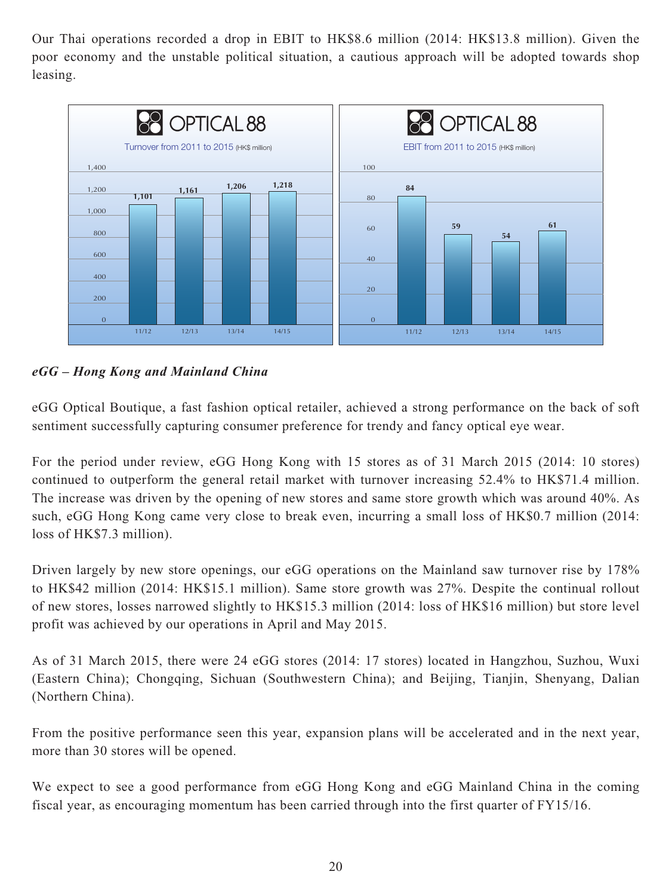Our Thai operations recorded a drop in EBIT to HK\$8.6 million (2014: HK\$13.8 million). Given the poor economy and the unstable political situation, a cautious approach will be adopted towards shop leasing.



*eGG – Hong Kong and Mainland China*

eGG Optical Boutique, a fast fashion optical retailer, achieved a strong performance on the back of soft sentiment successfully capturing consumer preference for trendy and fancy optical eye wear.

For the period under review, eGG Hong Kong with 15 stores as of 31 March 2015 (2014: 10 stores) continued to outperform the general retail market with turnover increasing 52.4% to HK\$71.4 million. The increase was driven by the opening of new stores and same store growth which was around 40%. As such, eGG Hong Kong came very close to break even, incurring a small loss of HK\$0.7 million (2014: loss of HK\$7.3 million).

Driven largely by new store openings, our eGG operations on the Mainland saw turnover rise by 178% to HK\$42 million (2014: HK\$15.1 million). Same store growth was 27%. Despite the continual rollout of new stores, losses narrowed slightly to HK\$15.3 million (2014: loss of HK\$16 million) but store level profit was achieved by our operations in April and May 2015.

As of 31 March 2015, there were 24 eGG stores (2014: 17 stores) located in Hangzhou, Suzhou, Wuxi (Eastern China); Chongqing, Sichuan (Southwestern China); and Beijing, Tianjin, Shenyang, Dalian (Northern China).

From the positive performance seen this year, expansion plans will be accelerated and in the next year, more than 30 stores will be opened.

We expect to see a good performance from eGG Hong Kong and eGG Mainland China in the coming fiscal year, as encouraging momentum has been carried through into the first quarter of FY15/16.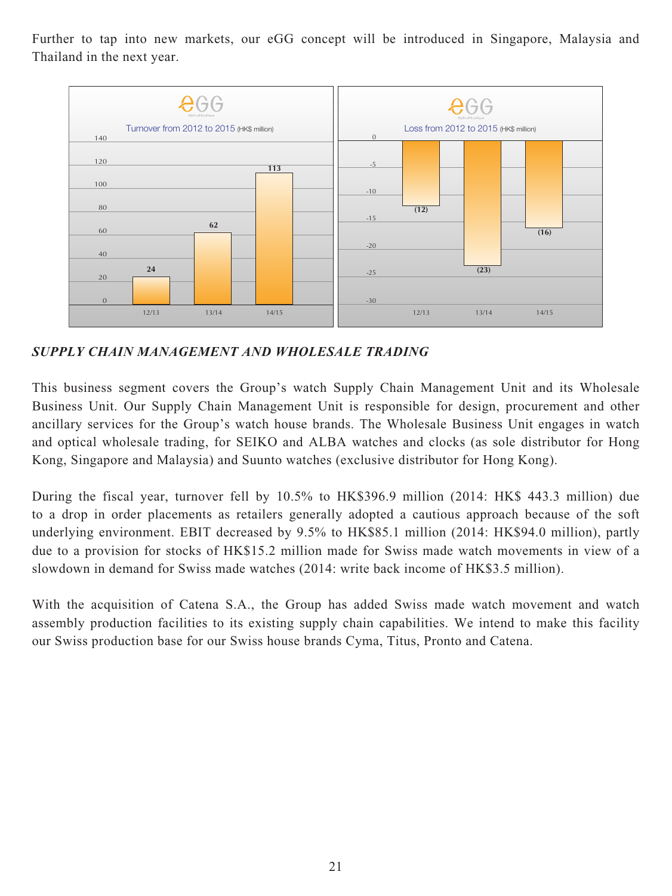Further to tap into new markets, our eGG concept will be introduced in Singapore, Malaysia and Thailand in the next year.



*SUPPLY CHAIN MANAGEMENT AND WHOLESALE TRADING*

This business segment covers the Group's watch Supply Chain Management Unit and its Wholesale Business Unit. Our Supply Chain Management Unit is responsible for design, procurement and other ancillary services for the Group's watch house brands. The Wholesale Business Unit engages in watch and optical wholesale trading, for SEIKO and ALBA watches and clocks (as sole distributor for Hong Kong, Singapore and Malaysia) and Suunto watches (exclusive distributor for Hong Kong).

During the fiscal year, turnover fell by 10.5% to HK\$396.9 million (2014: HK\$ 443.3 million) due to a drop in order placements as retailers generally adopted a cautious approach because of the soft underlying environment. EBIT decreased by 9.5% to HK\$85.1 million (2014: HK\$94.0 million), partly due to a provision for stocks of HK\$15.2 million made for Swiss made watch movements in view of a slowdown in demand for Swiss made watches (2014: write back income of HK\$3.5 million).

With the acquisition of Catena S.A., the Group has added Swiss made watch movement and watch assembly production facilities to its existing supply chain capabilities. We intend to make this facility our Swiss production base for our Swiss house brands Cyma, Titus, Pronto and Catena.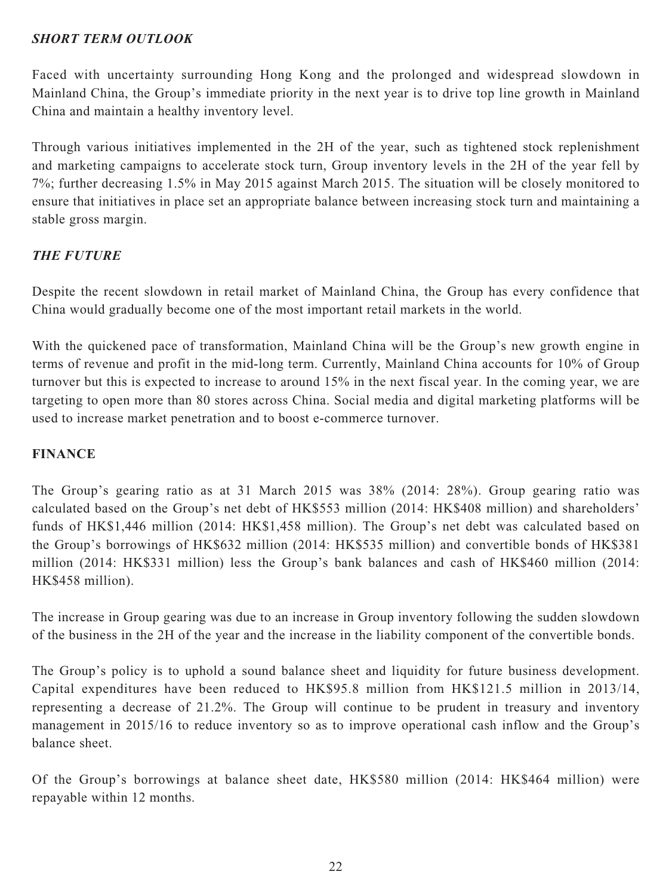# *SHORT TERM OUTLOOK*

Faced with uncertainty surrounding Hong Kong and the prolonged and widespread slowdown in Mainland China, the Group's immediate priority in the next year is to drive top line growth in Mainland China and maintain a healthy inventory level.

Through various initiatives implemented in the 2H of the year, such as tightened stock replenishment and marketing campaigns to accelerate stock turn, Group inventory levels in the 2H of the year fell by 7%; further decreasing 1.5% in May 2015 against March 2015. The situation will be closely monitored to ensure that initiatives in place set an appropriate balance between increasing stock turn and maintaining a stable gross margin.

# *THE FUTURE*

Despite the recent slowdown in retail market of Mainland China, the Group has every confidence that China would gradually become one of the most important retail markets in the world.

With the quickened pace of transformation, Mainland China will be the Group's new growth engine in terms of revenue and profit in the mid-long term. Currently, Mainland China accounts for 10% of Group turnover but this is expected to increase to around 15% in the next fiscal year. In the coming year, we are targeting to open more than 80 stores across China. Social media and digital marketing platforms will be used to increase market penetration and to boost e-commerce turnover.

# **FINANCE**

The Group's gearing ratio as at 31 March 2015 was 38% (2014: 28%). Group gearing ratio was calculated based on the Group's net debt of HK\$553 million (2014: HK\$408 million) and shareholders' funds of HK\$1,446 million (2014: HK\$1,458 million). The Group's net debt was calculated based on the Group's borrowings of HK\$632 million (2014: HK\$535 million) and convertible bonds of HK\$381 million (2014: HK\$331 million) less the Group's bank balances and cash of HK\$460 million (2014: HK\$458 million).

The increase in Group gearing was due to an increase in Group inventory following the sudden slowdown of the business in the 2H of the year and the increase in the liability component of the convertible bonds.

The Group's policy is to uphold a sound balance sheet and liquidity for future business development. Capital expenditures have been reduced to HK\$95.8 million from HK\$121.5 million in 2013/14, representing a decrease of 21.2%. The Group will continue to be prudent in treasury and inventory management in 2015/16 to reduce inventory so as to improve operational cash inflow and the Group's balance sheet.

Of the Group's borrowings at balance sheet date, HK\$580 million (2014: HK\$464 million) were repayable within 12 months.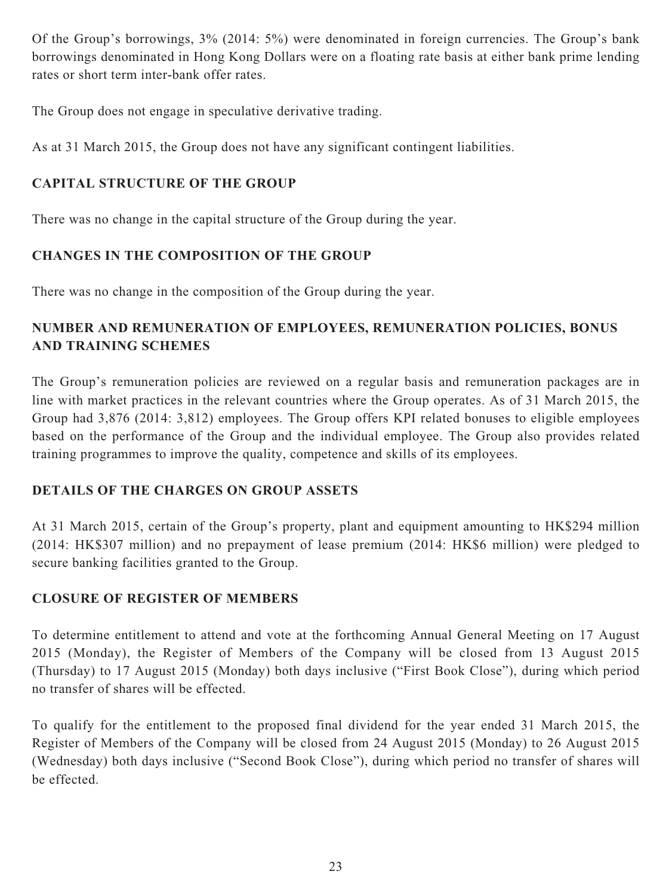Of the Group's borrowings, 3% (2014: 5%) were denominated in foreign currencies. The Group's bank borrowings denominated in Hong Kong Dollars were on a floating rate basis at either bank prime lending rates or short term inter-bank offer rates.

The Group does not engage in speculative derivative trading.

As at 31 March 2015, the Group does not have any significant contingent liabilities.

# **CAPITAL STRUCTURE OF THE GROUP**

There was no change in the capital structure of the Group during the year.

# **CHANGES IN THE COMPOSITION OF THE GROUP**

There was no change in the composition of the Group during the year.

# **NUMBER AND REMUNERATION OF EMPLOYEES, REMUNERATION POLICIES, BONUS AND TRAINING SCHEMES**

The Group's remuneration policies are reviewed on a regular basis and remuneration packages are in line with market practices in the relevant countries where the Group operates. As of 31 March 2015, the Group had 3,876 (2014: 3,812) employees. The Group offers KPI related bonuses to eligible employees based on the performance of the Group and the individual employee. The Group also provides related training programmes to improve the quality, competence and skills of its employees.

# **DETAILS OF THE CHARGES ON GROUP ASSETS**

At 31 March 2015, certain of the Group's property, plant and equipment amounting to HK\$294 million (2014: HK\$307 million) and no prepayment of lease premium (2014: HK\$6 million) were pledged to secure banking facilities granted to the Group.

# **CLOSURE OF REGISTER OF MEMBERS**

To determine entitlement to attend and vote at the forthcoming Annual General Meeting on 17 August 2015 (Monday), the Register of Members of the Company will be closed from 13 August 2015 (Thursday) to 17 August 2015 (Monday) both days inclusive ("First Book Close"), during which period no transfer of shares will be effected.

To qualify for the entitlement to the proposed final dividend for the year ended 31 March 2015, the Register of Members of the Company will be closed from 24 August 2015 (Monday) to 26 August 2015 (Wednesday) both days inclusive ("Second Book Close"), during which period no transfer of shares will be effected.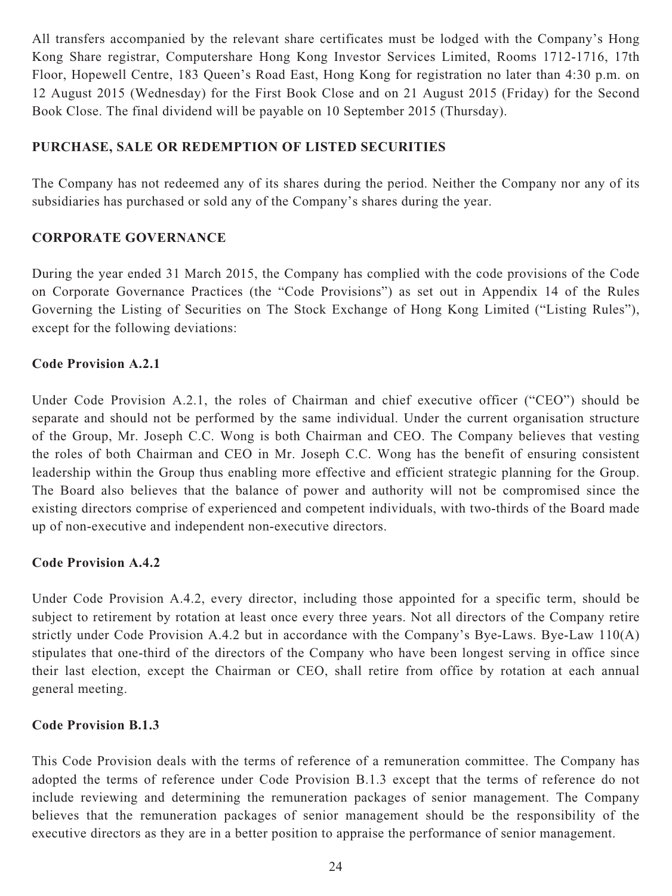All transfers accompanied by the relevant share certificates must be lodged with the Company's Hong Kong Share registrar, Computershare Hong Kong Investor Services Limited, Rooms 1712-1716, 17th Floor, Hopewell Centre, 183 Queen's Road East, Hong Kong for registration no later than 4:30 p.m. on 12 August 2015 (Wednesday) for the First Book Close and on 21 August 2015 (Friday) for the Second Book Close. The final dividend will be payable on 10 September 2015 (Thursday).

# **PURCHASE, SALE OR REDEMPTION OF LISTED SECURITIES**

The Company has not redeemed any of its shares during the period. Neither the Company nor any of its subsidiaries has purchased or sold any of the Company's shares during the year.

# **CORPORATE GOVERNANCE**

During the year ended 31 March 2015, the Company has complied with the code provisions of the Code on Corporate Governance Practices (the "Code Provisions") as set out in Appendix 14 of the Rules Governing the Listing of Securities on The Stock Exchange of Hong Kong Limited ("Listing Rules"), except for the following deviations:

# **Code Provision A.2.1**

Under Code Provision A.2.1, the roles of Chairman and chief executive officer ("CEO") should be separate and should not be performed by the same individual. Under the current organisation structure of the Group, Mr. Joseph C.C. Wong is both Chairman and CEO. The Company believes that vesting the roles of both Chairman and CEO in Mr. Joseph C.C. Wong has the benefit of ensuring consistent leadership within the Group thus enabling more effective and efficient strategic planning for the Group. The Board also believes that the balance of power and authority will not be compromised since the existing directors comprise of experienced and competent individuals, with two-thirds of the Board made up of non-executive and independent non-executive directors.

# **Code Provision A.4.2**

Under Code Provision A.4.2, every director, including those appointed for a specific term, should be subject to retirement by rotation at least once every three years. Not all directors of the Company retire strictly under Code Provision A.4.2 but in accordance with the Company's Bye-Laws. Bye-Law 110(A) stipulates that one-third of the directors of the Company who have been longest serving in office since their last election, except the Chairman or CEO, shall retire from office by rotation at each annual general meeting.

## **Code Provision B.1.3**

This Code Provision deals with the terms of reference of a remuneration committee. The Company has adopted the terms of reference under Code Provision B.1.3 except that the terms of reference do not include reviewing and determining the remuneration packages of senior management. The Company believes that the remuneration packages of senior management should be the responsibility of the executive directors as they are in a better position to appraise the performance of senior management.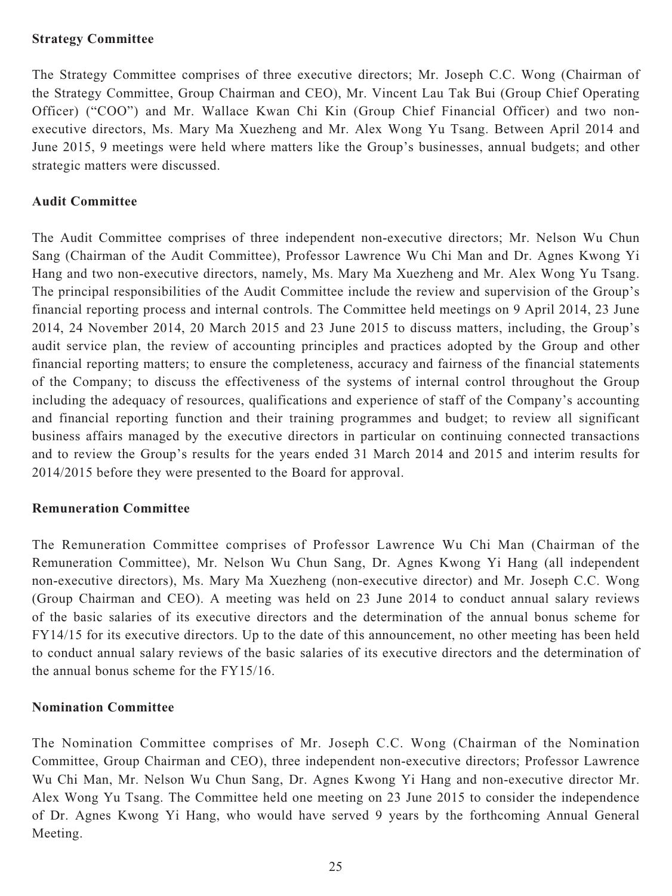## **Strategy Committee**

The Strategy Committee comprises of three executive directors; Mr. Joseph C.C. Wong (Chairman of the Strategy Committee, Group Chairman and CEO), Mr. Vincent Lau Tak Bui (Group Chief Operating Officer) ("COO") and Mr. Wallace Kwan Chi Kin (Group Chief Financial Officer) and two nonexecutive directors, Ms. Mary Ma Xuezheng and Mr. Alex Wong Yu Tsang. Between April 2014 and June 2015, 9 meetings were held where matters like the Group's businesses, annual budgets; and other strategic matters were discussed.

# **Audit Committee**

The Audit Committee comprises of three independent non-executive directors; Mr. Nelson Wu Chun Sang (Chairman of the Audit Committee), Professor Lawrence Wu Chi Man and Dr. Agnes Kwong Yi Hang and two non-executive directors, namely, Ms. Mary Ma Xuezheng and Mr. Alex Wong Yu Tsang. The principal responsibilities of the Audit Committee include the review and supervision of the Group's financial reporting process and internal controls. The Committee held meetings on 9 April 2014, 23 June 2014, 24 November 2014, 20 March 2015 and 23 June 2015 to discuss matters, including, the Group's audit service plan, the review of accounting principles and practices adopted by the Group and other financial reporting matters; to ensure the completeness, accuracy and fairness of the financial statements of the Company; to discuss the effectiveness of the systems of internal control throughout the Group including the adequacy of resources, qualifications and experience of staff of the Company's accounting and financial reporting function and their training programmes and budget; to review all significant business affairs managed by the executive directors in particular on continuing connected transactions and to review the Group's results for the years ended 31 March 2014 and 2015 and interim results for 2014/2015 before they were presented to the Board for approval.

## **Remuneration Committee**

The Remuneration Committee comprises of Professor Lawrence Wu Chi Man (Chairman of the Remuneration Committee), Mr. Nelson Wu Chun Sang, Dr. Agnes Kwong Yi Hang (all independent non-executive directors), Ms. Mary Ma Xuezheng (non-executive director) and Mr. Joseph C.C. Wong (Group Chairman and CEO). A meeting was held on 23 June 2014 to conduct annual salary reviews of the basic salaries of its executive directors and the determination of the annual bonus scheme for FY14/15 for its executive directors. Up to the date of this announcement, no other meeting has been held to conduct annual salary reviews of the basic salaries of its executive directors and the determination of the annual bonus scheme for the FY15/16.

# **Nomination Committee**

The Nomination Committee comprises of Mr. Joseph C.C. Wong (Chairman of the Nomination Committee, Group Chairman and CEO), three independent non-executive directors; Professor Lawrence Wu Chi Man, Mr. Nelson Wu Chun Sang, Dr. Agnes Kwong Yi Hang and non-executive director Mr. Alex Wong Yu Tsang. The Committee held one meeting on 23 June 2015 to consider the independence of Dr. Agnes Kwong Yi Hang, who would have served 9 years by the forthcoming Annual General Meeting.